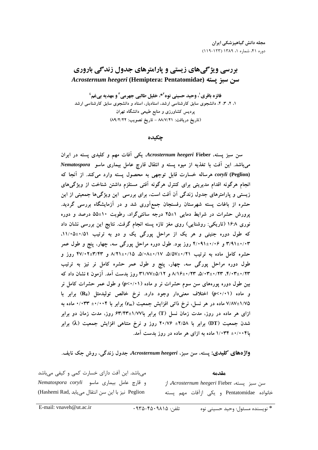# بررسی ویژگیهای زیستی و پارامترهای جدول زندگی باروری Acrosternum heegeri (Hemiptera: Pentatomidae) سن سبز يسته

فائزه باقري ٰ، وحيد حسيني نوه َّ\*، خليل طالبي جهرمي ؑ و مهديه بيغم ٔ ۱، ۲، ۳، ۴، دانشجوی سابق کارشناسی ارشد، استادیار، استاد و دانشجوی سابق کارشناسی ارشد پردیس کشاورزی و منابع طبیعی دانشگاه تهران (تاريخ دريافت: ٨٨/٧/٢١ - تاريخ تصويب: ٨٩/٢/٢٢)

چکیده

سن سبز پسته، Acrosternum heegeri Fieber یکی آفات مهم و کلیدی پسته در ایران میباشد. این آفت با تغذیه از میوه پسته و انتقال قارچ عامل بیماری ماسو Nematospora coryli (Peglion) هرساله خسارت قابل توجهی به محصول پسته وارد میکند. از آنجا که انجام هرگونه اقدام مدیریتی برای کنترل هرگونه آفتی مستلزم داشتن شناخت از ویژگیهای زیستی و پارامترهای جدول زندگی آن آفت است، برای بررسی این ویژگیها جمعیتی از این حشره از باغات پسته شهرستان رفسنجان جمع|َوری شد و در اَزمایشگاه بررسی گردید. یرورش حشرات در شرایط دمایی ۱±۲۵ درجه سانتی گراد، رطوبت ۱۰±۵۵ درصد و دوره نوری ۱۶:۸ (تاریکی: روشنایی) روی مغز تازه پسته انجام گرفت. نتایج این بررسی نشان داد که طول دوره جنینی و هر یک از مراحل پورگی یک و دو به ترتیب ۰/۵۱±۱۱/۰۵. ۳/۹۱±۰/۰۳ و ۴/۰۹۱±۴/۰۹ روز بود. طول دوره مراحل پورگی سه، چهار، پنج و طول عمر حشره کامل ماده به ترتیب ۵/۵۷±۰/۱۷، ۵/۰۸±۰/۱۷، ۱/۵+۸۲۱ و ۴۷/۰۲±۳/۱۲ روز و طول دوره مراحل پورگی سه، چهار، پنج و طول عمر حشره کامل نر نیز به ترتیب ۰/۲۳±۰/۲۳، ۵/۰۳±۰/۲۳، ۵/۰۳±۰/۲۳ و ۵/۱۲+۳۱/۷۷وز وز بدست آمد. آزمون t نشان داد که بین طول دوره پورههای سن سوم حشرات نر و ماده (p<۰/۰۱) و طول عمر حشرات کامل نر و ماده (p<٠/٠١) اختلاف معنىدار وجود دارد. نرخ خالص توليدمثل (R<sub>0</sub>) برابر با ۷/۸۷±۷/۷۷ ماده در هر نسل، نرخ ذاتی افزایش جمعیت (rm) برابر با ۰/۰۰۴+ ۰/۰۳۳+ ۰/۰۰ ازای هر ماده در روز، مدت زمان نسل (T) برابر با۱/۷۷±۶۳/۴۳ روز، مدت زمان دو برابر شدن جمعیت (DT) برابر با ۲/۵۸± ۲۰/۷۶ روز و نرخ متناهی افزایش جمعیت (X) برابر با۰۰۴۴± ۱/۰۳۴ ماده به ازای هر ماده در روز بدست آمد.

واژههای کلیدی: پسته، سن سبز، Acrosternum heegeri جدول زندگی، روش جک نایف.

می باشد. این آفت دارای خسارت کمی و کیفی می باشد و قارچ عامل بيماري ماسو Nematospora coryli Peglion نيز با اين سن انتقال مي يابد ,Hashemi Rad)

سن سبز يسته، *Acrosternum heegeri* Fieber از خانواده Pentatomidae و یکی ازآفات مهم یسته

مقدمه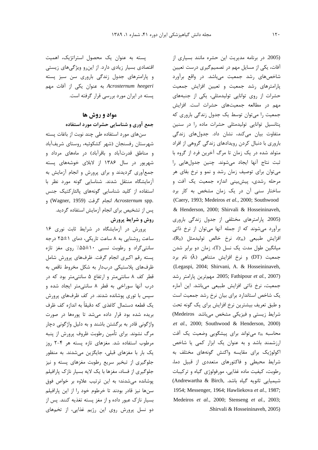(2005. در برنامه مدیریت این حشره مانند بسیاری از آفات، یکی از مسایل مهم در تصمیمگیری درست تعیین شاخصهای رشد جمعیت میباشد. در واقع برآورد پارامترهای رشد جمعیت و تعیین افزایش جمعیت حشرات از روی توانایی تولیدمثلی، یکی از جنبههای مهم در مطالعه جمعیتهای حشرات است. افزایش جمعیت را می توان توسط یک جدول زندگی باروری که پتانسیل توانایی تولیدمثلی حشرات ماده را در سنین متفاوت بیان میکند، نشان داد. جدولهای زندگی باروری با دنبال کردن رویدادهای زندگی گروهی از افراد متولد شده در یک زمان تا مرگ آخرین فرد از گروه با ثبت نتاج آنها ايجاد مىشوند. چنين جدولهايي را می توان برای توصیف زمان رشد و نمو و نرخ بقای هر مرحله رشدي، پيشبيني اندازه جمعيت يک آفت و ساختار سنی آن در یک زمان مشخص به کار برد (Caery, 1993; Medeiros et al., 2000; Southwood & Henderson, 2000; Shirvali & Hosseininaveh, (2005. پارامترهای مختلفی از جدول زندگی باروری برآورد می شوند که از جمله آنها می توان از نرخ ذاتی (R<sub>0</sub>) افزایش طبیعی (rm)، نرخ خالص تولیدمثل (R<sub>0</sub>)، میانگین طول مدت یک نسل (T)، زمان دو برابر شدن جمعیت (DT) و نرخ افزایش متناهی (λ) نام برد (Legaspi, 2004; Shirvani, A. & Hosseininaveh, 2005; Fathipour et al., 2007). مهم ترين پارامتر رشد جمعیت، نرخ ذاتی افزایش طبیعی میباشد. این آماره یک شاخص استاندارد برای بیان نرخ رشد جمعیت است و طبق تعریف بیشترین نرخ افزایش برای یک گونه تحت شرایط زیستی و فیزیکی مشخص میباشد Medeiros) .et al., 2000; Southwood & Henderson, 2000) محاسبه rm میتواند برای پیشگویی وضعیت یک آفت ارزشمند باشد و به عنوان یک ابزار کمی یا شاخص اکولوژیک برای مقایسه واکنش گونههای مختلف به شرایط محیطی و فاکتورهای متعددی از قبیل دما، رطوبت، کیفیت ماده غذایی، مورفولوژی گیاه و ترکیبات شيميايي ثانويه گياه باشد. ,Andrewartha & Birch) 1954; Messenger, 1964; Hawliekova et al., 1987; Medeiros et al., 2000; Stenseng et al., 2003; Shirvali & Hosseininaveh. 2005).

یسته به عنوان یک محصول استراتژیک، اهمیت اقتصادی بسیار زیادی دارد. از این رو ویژگیهای زیستی و پارامترهای جدول زندگی باروری سن سبز پسته Acrosternum heegeri به عنوان یکی از آفات مهم پسته در ایران مورد بررسی قرار گرفته است.

## مواد و روش ها

جمع آوری و شناسایی حشرات مورد استفاده

سنهای مورد استفاده طی چند نوبت از باغات پسته شهرستان رفسنجان (شهر كشكوئيه، روستاي شريفآباد و مناطق قدرتآباد و باقرآباد) در ماههای مرداد و شهریور در سال ۱۳۸۶ از لابلای خوشههای پسته جمعآوری گردیدند و برای پرورش و انجام آزمایش به آزمایشگاه منتقل شدند. شناسایی گونه مورد نظر با استفاده از کلید شناسایی گونههای پالئارکتیک جنس و (Wagner, 1959) انجام گرفت (Wagner, 1959) پس از تشخیص برای انجام آزمایش استفاده گردید. روش و شرایط پرورش

یرورش در آزمایشگاه در شرایط ثابت نوری ۱۶ ساعت روشنایی به ۸ ساعت تاریکی، دمای ۱±۲۵ درجه سانتیگراد و رطوبت نسبی ۱۰±۵۵٪ روی مغز تازه پسته رقم اکبری انجام گرفت. ظرفهای پرورش شامل ظرفهای پلاستیکی دربدار به شکل مخروط ناقص به قطر کف ۸ سانتی متر و ارتفاع ۵ سانتی متر بود که در درب آنها سوراخی به قطر ٨ سانتی متر ایجاد شده و سپس با تورې پوشانده شدند. در کف ظرفهای پرورش یک قطعه دستمال کاغذی که دقیقاً به اندازه کف ظرف بریده شده بود قرار داده می شد تا پورهها در صورت واژگونی قادر به برگشتن باشند و به دلیل واژگونی دچار مرگ نشوند. برای تأمین رطوبت ظروف پرورش از پنبه مرطوب استفاده شد. مغزهای تازه پسته هر ۴-۲ روز یک بار با مغزهای قبلی، جایگزین میشدند. به منظور جلوگیری از تبخیر سریع رطوبت مغزهای پسته و نیز جلوگیری از فساد، مغزها با یک لایه بسیار نازک پارافیلم پوشانده می شدند؛ به این ترتیب علاوه بر خواص فوق سنها نیز قادر بودند تا خرطوم خود را از این پارافیلم بسیار نازک عبور داده و از مغز پسته تغذیه کنند. پس از دو نسل پرورش روی این رژیم غذایی، از تخمهای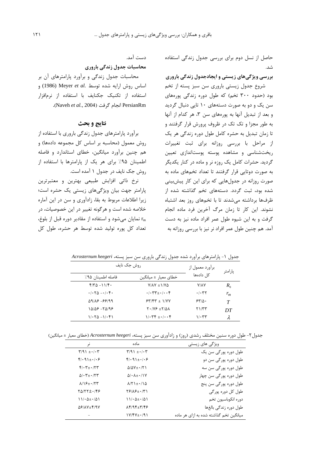حاصل از نسل دوم برای بررسی جدول زندگی استفاده شد.

## بررسی ویژگیهای زیستی و ایجادجدول زندگی باروری

شروع جدول زیستی باروری سن سبز پسته از تخم بود (حدود ۳۰۰ تخم) که طول دوره زندگی پورههای سن یک و دو به صورت دستههای ۱۰ تایی دنبال گردید و بعد از تبدیل آنها به پورههای سن ۳، هر کدام از آنها به طور مجزا و تک تک در ظروف پرورش قرار گرفتند و تا زمان تبدیل به حشره کامل طول دوره زندگی هر یک از مراحل با بررسی روزانه برای ثبت تغییرات ریختشناسی و مشاهده پوسته پوستاندازی تعیین گردید. حشرات کامل یک روزه نر و ماده در کنار یکدیگر به صورت دوتایی قرار گرفتند تا تعداد تخمهای ماده به صورت روزانه در جدولهایی که برای این کار پیش بینی شده بود، ثبت گردد. دستههای تخم گذاشته شده از ظرفها برداشته می شدند تا با تخمهای روز بعد اشتباه نشوند. این کار تا زمان مرگ آخرین فرد ماده انجام گرفت و به این شیوه طول عمر افراد ماده نیز به دست آمد. هم چنین طول عمر افراد نر نیز با بررسی روزانه به

دست آمد.

محاسبات جدول زندگی باروری

محاسبات جدول زندگی و برآورد پارامترهای آن بر اساس روش ارايه شده توسط .Meyer et al (1986) و استفاده از تکنیک جکنایف با استفاده از نرمافزار PersianRm انجام گرفت (Naveh et al., 2004).

### نتايج و بحث

برآورد پارامترهای جدول زندگی باروری با استفاده از روش معمول (محاسبه بر اساس كل مجموعه دادهها) و هم چنین برآورد میانگین، خطای استاندارد و فاصله اطمینان ۹۵٪ برای هر یک از پارامترها با استفاده از روش جک نایف در جدول ۱ آمده است.

نرخ ذاتی افزایش طبیعی بهترین و معتبرترین یارامتر جهت بیان ویژگیهای زیستی یک حشره است؛ زیرا اطلاعات مربوط به بقا، زادآوری و سن در این آماره خلاصه شده است و هرگونه تغییر در این خصوصیات، در نمایان میشود و استفاده از مقادیر دوره قبل از بلوغ،  $r_m$ تعداد كل يوره توليد شده توسط هر حشره، طول كل

| روش جک نایف                                                                 |                                                            | برآورد معمول از                 | پارامتر |
|-----------------------------------------------------------------------------|------------------------------------------------------------|---------------------------------|---------|
| فاصله اطمينان ۹۵٪                                                           | خطای معیا <sub>د</sub> ± میانگین                           | کل دادەھا                       |         |
| $f/T\Delta - 11/F$                                                          | $Y/AY \pm 1/Y\Delta$                                       | <b>Y/AY</b>                     | $R_0$   |
| $\cdot$ / $\cdot$ $\uparrow$ $\Delta$ $ \cdot$ / $\cdot$ $\uparrow$ $\cdot$ | $\cdot/\cdot \mathsf{YY}_{\pm}\cdot/\cdot\cdot \mathsf{Y}$ | $\cdot$ / $\cdot$ $\tau$ $\tau$ | $r_{m}$ |
| 59188-88199                                                                 | $54/54 \pm 1/44$                                           | $550 -$                         | T       |
| 15156-15198                                                                 | $Y \cdot (Y \in \pm Y/\Delta \Lambda)$                     | ۲۱/۳۳                           | DT      |
| $1/\cdot 70 - 1/\cdot 71$                                                   | $1.544 + 1.644$                                            | ۱/۰۳۳                           | λ       |

جدول ۱- پارامترهای برآورد شده جدول زندگی باروری سن سبز پسته، Acrosternum heegeri

جدول۲- طول دوره سنین مختلف رشدی (روز) و زادآوری سن سبز پسته، Acrosternum heegeri (خطای معیار ± میانگین)

| نر                                                  | ماده                                                          | ویژگی های زیستی                        |
|-----------------------------------------------------|---------------------------------------------------------------|----------------------------------------|
| $\Upsilon/9$ $\pm$ $\cdot$ / $\cdot$ $\Upsilon$     | $\Upsilon/9$ $+$ $\cdot$ / $\cdot$ $\Upsilon$                 | طول دورہ یور گی سن پک                  |
| $f(\cdot q)_{\pm} \cdot (\cdot)$                    | $f(\cdot q)_{\pm} \cdot / \cdot \epsilon$                     | طول دورہ یور گی سن دو                  |
| $f/\cdot 7$ + $\cdot$ /۲۳                           | $\Delta/\Delta V$ + $\cdot$ / $\uparrow$ )                    | طول دورہ یور گے سن سه                  |
| $\Delta$ / $\cdot$ $\tau$ + $\cdot$ / $\tau$ $\tau$ | $\Delta$ / $\cdot$ $\Lambda$ $\pm$ $\cdot$ / $\Lambda$ $\vee$ | طول دورہ یور <i>گی</i> سن چھار         |
| $\lambda$ /18+ $\cdot$ /۲۳                          | $\lambda$ /۲۱ $\pm$ $\cdot$ /1 $\Delta$                       | طول دورہ یور گے سن پنج                 |
| 70/۲۲+۰/۴۶                                          | $Y$ $Y$ $A$ $Y$ $+$ $Y$ $Y$                                   | طول کل دورہ پور گی                     |
| $11/\cdot \Delta \pm \cdot (\Delta)$                | $11/\cdot \Delta \pm \cdot (\Delta)$                          | دوره انکوباسیون تخم                    |
| $\Delta$ ۶/۸۷±۴/۹۷                                  | $\lambda$ 4/94 $\pm$ 2/46                                     | طول دورہ زندگی بالغھا                  |
|                                                     | $1V/FV_{\pm}$ + /91                                           | میانگین تخم گذاشته شده به ازای هر ماده |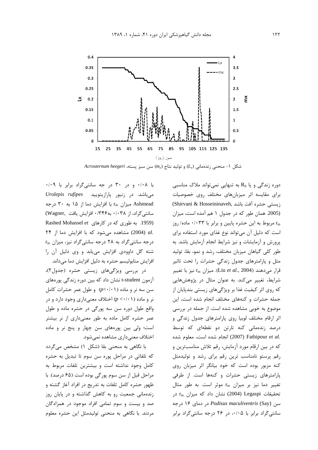

Acrosternum heegeri (m<sub>x</sub>) و توليد نتاج (m<sub>x</sub>) سن سبز يسته، Acrosternum heegeri

با ۰/۰۸ و در ۳۰ در جه سانتیگراد برابر با ۰/۰۹ میباشد. در زنبور یارازیتویید Vrolepis rufipes Ashmead میزان r<sub>m</sub> با افزایش دما از ۱۵ به ۳۰ درجه سانتی گراد، از ۰/۰۳۸ به ۰/۳۴۶ افزایش یافت .Wagner) Rashed Mohassel et . به طوری که در کارهای Rashed Mohassel et .al (2004) مشاهده می شود که با افزایش دما از ٢۴  $r_m$  درجه سانتی گراد به ٢٨ درجه سانتی گراد نیز، میزان شته گل داوودی افزایش می یابد و وی دلیل آن را افزایش متابولیسم حشره به دلیل افزایش دما میداند.

در بررسی ویژگیهای زیستی حشره (جدول۲)، آزمون t-student نشان داد که بین دوره زندگی پورههای سن سه نر و ماده (p<٠/٠١) و طول عمر حشرات كامل نر و ماده ( ۱ /۰/۰ ) اختلاف معنىدارى وجود دارد و در واقع طول دوره سن سه پورگی در حشره ماده و طول عمر حشره کامل ماده به طور معنیداری از نر بیشتر است؛ ولي بين يورەهاي سن چهار و پنج نر و ماده اختلاف معنی داری مشاهده نمی شود.

با نگاهی به منحنی بقا (شکل ۱) مشخص میگردد كه تلفاتي در مراحل پوره سن سوم تا تبديل به حشره كامل وجود نداشته است و بيشترين تلفات مربوط به مراحل قبل از سن سوم پورگی بوده است (۶۵ درصد). با ظهور حشره کامل تلفات به تدریج در افراد آغاز گشته و زندهمانی جمعیت رو به کاهش گذاشته و در پایان روز صد و بیست و سوم تمامی افراد موجود در همزادگان مردند. با نگاهی به منحنی تولیدمثل این حشره معلوم

دوره زندگی و یا R<sub>0</sub> به تنهایی نمی تواند ملاک مناسبی برای مقایسه اثر میزبانهای مختلف روی خصوصیات (Shirvani & Hosseininaveh, نيستى حشره أفت باشد) (2005. همان طور که در جدول ۱ هم آمده است، میزان rm مربوط به این حشره پایین و برابر با ۰/۰۳۳ ماده/ روز است که دلیل آن میتواند نوع غذای مورد استفاده برای پرورش و آزمایشات و نیز شرایط انجام آزمایش باشد. به طور کلی گیاهان میزبان مختلف، رشد و نمو، بقا، تولید مثل و پارامترهای جدول زندگی حشرات را تحت تاثیر قرار میدهند (Liu et al., 2004). میزان r<sub>m</sub> نیز با تغییر شرایط، تغییر میکند. به عنوان مثال در پژوهشهایی که روی اثر کیفیت غذا بر ویژگیهای زیستی بندپایان از جمله حشرات و کنههای مختلف انجام شده است، این موضوع به خوبی مشاهده شده است. از جمله در بررسی اثر ارقام مختلف لوبیا روی پارامترهای جدول زندگی و درصد زندهمانی کنه تارتن دو نقطهای که توسط .2007) Fathipour et al (2007) انجام شده است، معلوم شده که در بین ارقام مورد آزمایش، رقم تلاش مناسبترین و رقم پرستو نامناسب ترین رقم برای رشد و تولیدمثل کنه مزبور بوده است که خود بیانگر اثر میزبان روی پارامترهای زیستی حشرات و کنهها است. از طرفی تغییر دما نیز بر میزان rm موثر است. به طور مثال  $r_m$  تحقیقات Legaspi (2004) نشان داد که میزان  $r_m$  در سن Podisus maculiventris (Say) در حه سانتی گراد برابر با ۰/۰۵، در ۲۶ درجه سانتی گراد برابر